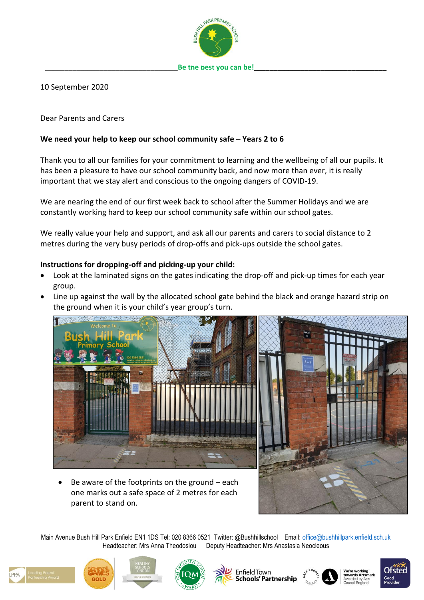

10 September 2020

Dear Parents and Carers

# **We need your help to keep our school community safe – Years 2 to 6**

Thank you to all our families for your commitment to learning and the wellbeing of all our pupils. It has been a pleasure to have our school community back, and now more than ever, it is really important that we stay alert and conscious to the ongoing dangers of COVID-19.

We are nearing the end of our first week back to school after the Summer Holidays and we are constantly working hard to keep our school community safe within our school gates.

We really value your help and support, and ask all our parents and carers to social distance to 2 metres during the very busy periods of drop-offs and pick-ups outside the school gates.

## **Instructions for dropping-off and picking-up your child:**

- Look at the laminated signs on the gates indicating the drop-off and pick-up times for each year group.
- Line up against the wall by the allocated school gate behind the black and orange hazard strip on the ground when it is your child's year group's turn.



Be aware of the footprints on the ground  $-$  each one marks out a safe space of 2 metres for each parent to stand on.



Main Avenue Bush Hill Park Enfield EN1 1DS Tel: 020 8366 0521 Twitter: @Bushhillschool Email: [office@bushhillpark.enfield.sch.uk](mailto:office@bushhillpark.enfield.sch.uk) Headteacher: Mrs Anna Theodosiou Deputy Headteacher: Mrs Anastasia Neocleous









**Enfield Town Schools' Partnership** 





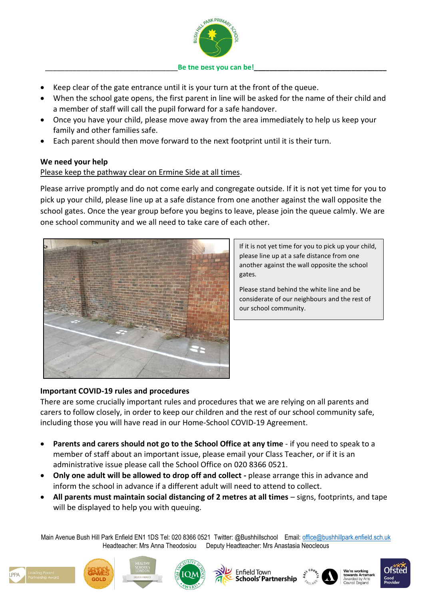

#### Be the best you can be!

- Keep clear of the gate entrance until it is your turn at the front of the queue.
- When the school gate opens, the first parent in line will be asked for the name of their child and a member of staff will call the pupil forward for a safe handover.
- Once you have your child, please move away from the area immediately to help us keep your family and other families safe.
- Each parent should then move forward to the next footprint until it is their turn.

## **We need your help**

# Please keep the pathway clear on Ermine Side at all times.

Please arrive promptly and do not come early and congregate outside. If it is not yet time for you to pick up your child, please line up at a safe distance from one another against the wall opposite the school gates. Once the year group before you begins to leave, please join the queue calmly. We are one school community and we all need to take care of each other.



If it is not yet time for you to pick up your child, please line up at a safe distance from one another against the wall opposite the school gates.

Please stand behind the white line and be considerate of our neighbours and the rest of our school community.

## **Important COVID-19 rules and procedures**

There are some crucially important rules and procedures that we are relying on all parents and carers to follow closely, in order to keep our children and the rest of our school community safe, including those you will have read in our Home-School COVID-19 Agreement.

- **Parents and carers should not go to the School Office at any time** if you need to speak to a member of staff about an important issue, please email your Class Teacher, or if it is an administrative issue please call the School Office on 020 8366 0521.
- **Only one adult will be allowed to drop off and collect -** please arrange this in advance and inform the school in advance if a different adult will need to attend to collect.
- **All parents must maintain social distancing of 2 metres at all times**  signs, footprints, and tape will be displayed to help you with queuing.

Main Avenue Bush Hill Park Enfield EN1 1DS Tel: 020 8366 0521 Twitter: @Bushhillschool Email: [office@bushhillpark.enfield.sch.uk](mailto:office@bushhillpark.enfield.sch.uk) Headteacher: Mrs Anna Theodosiou Deputy Headteacher: Mrs Anastasia Neocleous